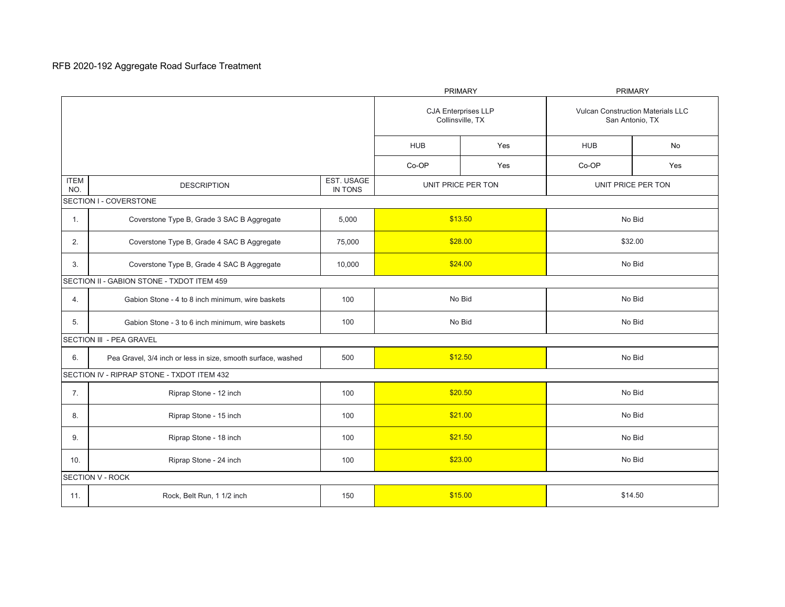## RFB 2020-192 Aggregate Road Surface Treatment

|                                            |                                                              |                       | <b>PRIMARY</b>                                 |            | <b>PRIMARY</b>                                              |     |  |
|--------------------------------------------|--------------------------------------------------------------|-----------------------|------------------------------------------------|------------|-------------------------------------------------------------|-----|--|
|                                            |                                                              |                       | <b>CJA Enterprises LLP</b><br>Collinsville, TX |            | <b>Vulcan Construction Materials LLC</b><br>San Antonio, TX |     |  |
|                                            |                                                              | <b>HUB</b>            | Yes                                            | <b>HUB</b> | <b>No</b>                                                   |     |  |
|                                            |                                                              |                       | Co-OP                                          | Yes        | Co-OP                                                       | Yes |  |
| <b>ITEM</b><br>NO.                         | <b>DESCRIPTION</b>                                           | EST. USAGE<br>IN TONS | UNIT PRICE PER TON                             |            | UNIT PRICE PER TON                                          |     |  |
|                                            | SECTION I - COVERSTONE                                       |                       |                                                |            |                                                             |     |  |
| $\mathbf{1}$ .                             | Coverstone Type B, Grade 3 SAC B Aggregate                   | 5,000                 | \$13.50                                        |            | No Bid                                                      |     |  |
| 2.                                         | Coverstone Type B, Grade 4 SAC B Aggregate                   | 75,000                | \$28.00                                        |            | \$32.00                                                     |     |  |
| 3.                                         | Coverstone Type B, Grade 4 SAC B Aggregate                   | 10,000                | \$24.00                                        |            | No Bid                                                      |     |  |
| SECTION II - GABION STONE - TXDOT ITEM 459 |                                                              |                       |                                                |            |                                                             |     |  |
| 4.                                         | Gabion Stone - 4 to 8 inch minimum, wire baskets             | 100                   | No Bid                                         |            | No Bid                                                      |     |  |
| 5.                                         | Gabion Stone - 3 to 6 inch minimum, wire baskets             | 100                   | No Bid                                         |            | No Bid                                                      |     |  |
|                                            | SECTION III - PEA GRAVEL                                     |                       |                                                |            |                                                             |     |  |
| 6.                                         | Pea Gravel, 3/4 inch or less in size, smooth surface, washed | 500                   | \$12.50                                        |            | No Bid                                                      |     |  |
|                                            | SECTION IV - RIPRAP STONE - TXDOT ITEM 432                   |                       |                                                |            |                                                             |     |  |
| 7.                                         | Riprap Stone - 12 inch                                       | 100                   | \$20.50                                        |            | No Bid                                                      |     |  |
| 8.                                         | Riprap Stone - 15 inch                                       | 100                   | \$21.00                                        |            | No Bid                                                      |     |  |
| 9.                                         | Riprap Stone - 18 inch                                       | 100                   | \$21.50                                        |            | No Bid                                                      |     |  |
| 10.                                        | Riprap Stone - 24 inch                                       | 100                   | \$23.00                                        |            | No Bid                                                      |     |  |
| SECTION V - ROCK                           |                                                              |                       |                                                |            |                                                             |     |  |
| 11.                                        | Rock, Belt Run, 1 1/2 inch                                   | 150                   | \$15.00                                        |            | \$14.50                                                     |     |  |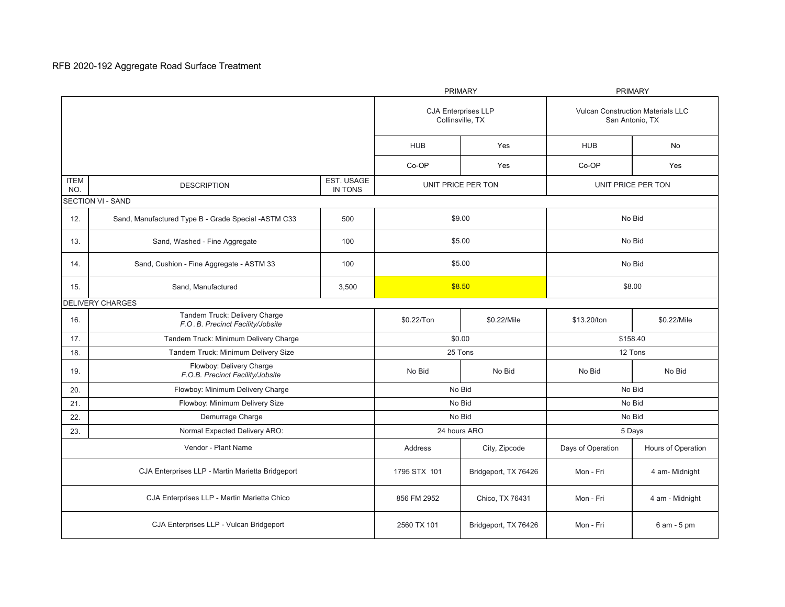## RFB 2020-192 Aggregate Road Surface Treatment

|                                                  |                                                                   |                                                | <b>PRIMARY</b>       |                                                             | <b>PRIMARY</b>     |                    |  |
|--------------------------------------------------|-------------------------------------------------------------------|------------------------------------------------|----------------------|-------------------------------------------------------------|--------------------|--------------------|--|
|                                                  |                                                                   | <b>CJA Enterprises LLP</b><br>Collinsville, TX |                      | <b>Vulcan Construction Materials LLC</b><br>San Antonio, TX |                    |                    |  |
|                                                  |                                                                   |                                                | <b>HUB</b>           | Yes                                                         | <b>HUB</b>         | No                 |  |
|                                                  |                                                                   |                                                | Co-OP                | Yes                                                         | Co-OP              | Yes                |  |
| <b>ITEM</b><br>NO.                               | <b>DESCRIPTION</b>                                                | EST. USAGE<br>IN TONS                          | UNIT PRICE PER TON   |                                                             | UNIT PRICE PER TON |                    |  |
| <b>SECTION VI - SAND</b>                         |                                                                   |                                                |                      |                                                             |                    |                    |  |
| 12.                                              | Sand, Manufactured Type B - Grade Special -ASTM C33               | 500                                            | \$9.00               |                                                             | No Bid             |                    |  |
| 13.                                              | Sand, Washed - Fine Aggregate                                     | 100                                            | \$5.00               |                                                             | No Bid             |                    |  |
| 14.                                              | Sand, Cushion - Fine Aggregate - ASTM 33                          | 100                                            | \$5.00               |                                                             | No Bid             |                    |  |
| 15.                                              | Sand, Manufactured                                                | 3,500                                          | \$8.50               |                                                             | \$8.00             |                    |  |
|                                                  | <b>DELIVERY CHARGES</b>                                           |                                                |                      |                                                             |                    |                    |  |
| 16.                                              | Tandem Truck: Delivery Charge<br>F.O.B. Precinct Facility/Jobsite |                                                | \$0.22/Ton           | \$0.22/Mile                                                 | \$13.20/ton        | \$0.22/Mile        |  |
| 17.                                              | Tandem Truck: Minimum Delivery Charge                             |                                                | \$0.00               |                                                             | \$158.40           |                    |  |
| 18.                                              | Tandem Truck: Minimum Delivery Size                               |                                                | 25 Tons              |                                                             | 12 Tons            |                    |  |
| 19.                                              | Flowboy: Delivery Charge<br>F.O.B. Precinct Facility/Jobsite      |                                                | No Bid               | No Bid                                                      | No Bid             | No Bid             |  |
| 20.                                              | Flowboy: Minimum Delivery Charge                                  |                                                | No Bid               |                                                             | No Bid             |                    |  |
| 21.                                              | Flowboy: Minimum Delivery Size                                    |                                                | No Bid               |                                                             | No Bid             |                    |  |
| 22.                                              | Demurrage Charge                                                  |                                                | No Bid               |                                                             | No Bid             |                    |  |
| 23.                                              | Normal Expected Delivery ARO:                                     |                                                | 24 hours ARO         |                                                             | 5 Days             |                    |  |
|                                                  | Vendor - Plant Name                                               |                                                | Address              | City, Zipcode                                               | Days of Operation  | Hours of Operation |  |
| CJA Enterprises LLP - Martin Marietta Bridgeport |                                                                   | 1795 STX 101                                   | Bridgeport, TX 76426 | Mon - Fri                                                   | 4 am-Midnight      |                    |  |
| CJA Enterprises LLP - Martin Marietta Chico      |                                                                   | 856 FM 2952                                    | Chico, TX 76431      | Mon - Fri                                                   | 4 am - Midnight    |                    |  |
| CJA Enterprises LLP - Vulcan Bridgeport          |                                                                   | 2560 TX 101                                    | Bridgeport, TX 76426 | Mon - Fri                                                   | 6 am - 5 pm        |                    |  |